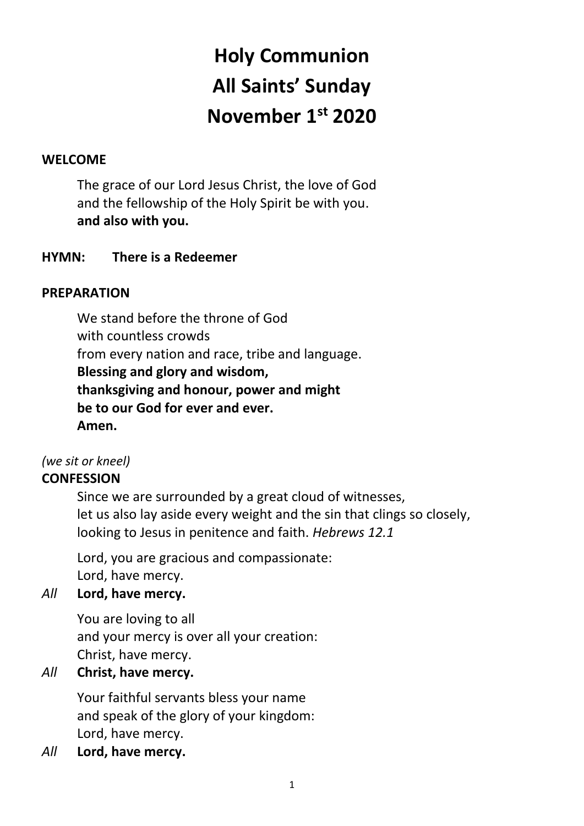# **Holy Communion All Saints' Sunday November 1 st 2020**

# **WELCOME**

The grace of our Lord Jesus Christ, the love of God and the fellowship of the Holy Spirit be with you. **and also with you.** 

# **HYMN: There is a Redeemer**

# **PREPARATION**

We stand before the throne of God with countless crowds from every nation and race, tribe and language. **Blessing and glory and wisdom, thanksgiving and honour, power and might be to our God for ever and ever. Amen.**

# *(we sit or kneel)*

# **CONFESSION**

Since we are surrounded by a great cloud of witnesses, let us also lay aside every weight and the sin that clings so closely, looking to Jesus in penitence and faith. *Hebrews 12.1*

Lord, you are gracious and compassionate: Lord, have mercy.

# *All* **Lord, have mercy.**

You are loving to all and your mercy is over all your creation: Christ, have mercy.

# *All* **Christ, have mercy.**

Your faithful servants bless your name and speak of the glory of your kingdom: Lord, have mercy.

*All* **Lord, have mercy.**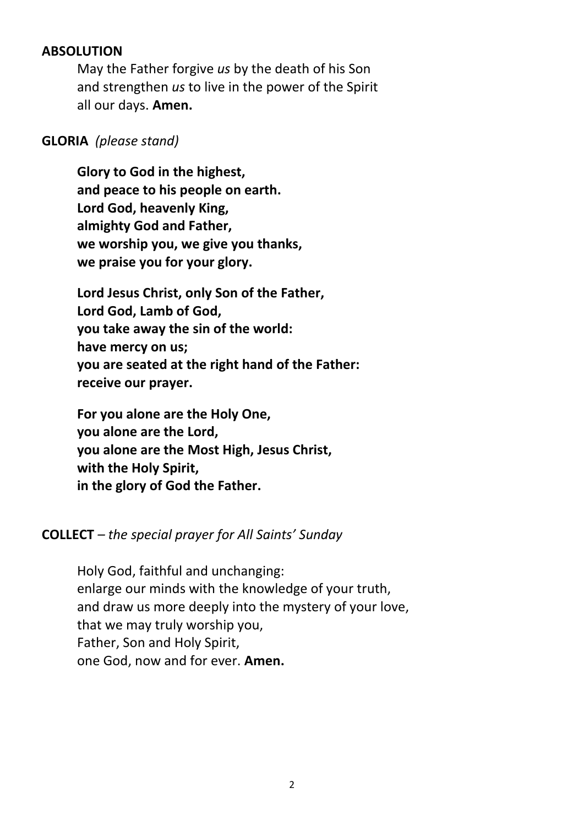# **ABSOLUTION**

May the Father forgive *us* by the death of his Son and strengthen *us* to live in the power of the Spirit all our days. **Amen.**

## **GLORIA** *(please stand)*

**Glory to God in the highest, and peace to his people on earth. Lord God, heavenly King, almighty God and Father, we worship you, we give you thanks, we praise you for your glory.**

**Lord Jesus Christ, only Son of the Father, Lord God, Lamb of God, you take away the sin of the world: have mercy on us; you are seated at the right hand of the Father: receive our prayer.**

**For you alone are the Holy One, you alone are the Lord, you alone are the Most High, Jesus Christ, with the Holy Spirit, in the glory of God the Father.**

# **COLLECT** *– the special prayer for All Saints' Sunday*

Holy God, faithful and unchanging: enlarge our minds with the knowledge of your truth, and draw us more deeply into the mystery of your love, that we may truly worship you, Father, Son and Holy Spirit, one God, now and for ever. **Amen.**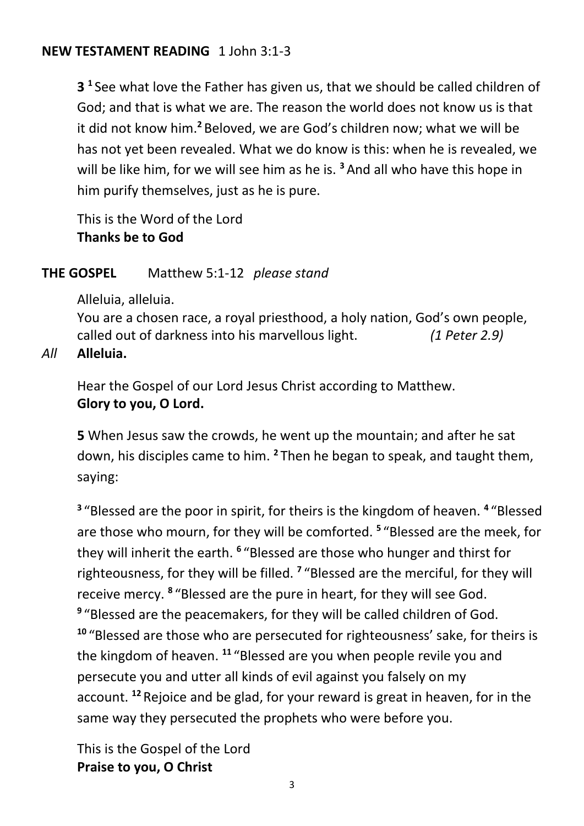# **NEW TESTAMENT READING** 1 John 3:1-3

**3 1** See what love the Father has given us, that we should be called children of God; and that is what we are. The reason the world does not know us is that it did not know him.**<sup>2</sup>** Beloved, we are God's children now; what we will be has not yet been revealed. What we do know is this: when he is revealed, we will be like him, for we will see him as he is. **<sup>3</sup>**And all who have this hope in him purify themselves, just as he is pure.

This is the Word of the Lord **Thanks be to God**

#### **THE GOSPEL** Matthew 5:1-12 *please stand*

Alleluia, alleluia.

You are a chosen race, a royal priesthood, a holy nation, God's own people, called out of darkness into his marvellous light. *(1 Peter 2.9)*

*All* **Alleluia.**

Hear the Gospel of our Lord Jesus Christ according to Matthew. **Glory to you, O Lord.**

**5** When Jesus saw the crowds, he went up the mountain; and after he sat down, his disciples came to him. **<sup>2</sup>** Then he began to speak, and taught them, saying:

**3** "Blessed are the poor in spirit, for theirs is the kingdom of heaven. **<sup>4</sup>** "Blessed are those who mourn, for they will be comforted. **<sup>5</sup>** "Blessed are the meek, for they will inherit the earth. **<sup>6</sup>** "Blessed are those who hunger and thirst for righteousness, for they will be filled. **<sup>7</sup>** "Blessed are the merciful, for they will receive mercy. **<sup>8</sup>** "Blessed are the pure in heart, for they will see God. **9** "Blessed are the peacemakers, for they will be called children of God. **<sup>10</sup>** "Blessed are those who are persecuted for righteousness' sake, for theirs is the kingdom of heaven. **<sup>11</sup>** "Blessed are you when people revile you and persecute you and utter all kinds of evil against you falsely on my account. **<sup>12</sup>** Rejoice and be glad, for your reward is great in heaven, for in the same way they persecuted the prophets who were before you.

This is the Gospel of the Lord **Praise to you, O Christ**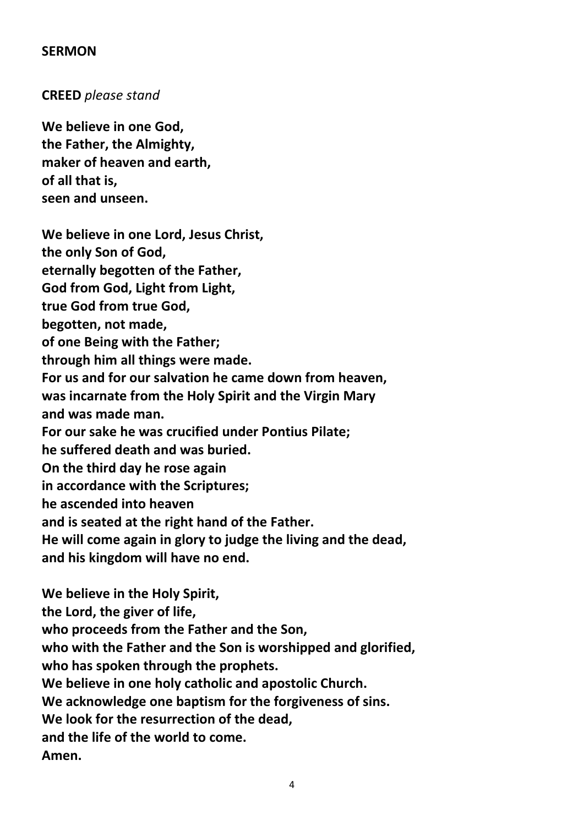#### **SERMON**

**CREED** *please stand*

**We believe in one God, the Father, the Almighty, maker of heaven and earth, of all that is, seen and unseen.**

**We believe in one Lord, Jesus Christ, the only Son of God, eternally begotten of the Father, God from God, Light from Light, true God from true God, begotten, not made, of one Being with the Father; through him all things were made. For us and for our salvation he came down from heaven, was incarnate from the Holy Spirit and the Virgin Mary and was made man. For our sake he was crucified under Pontius Pilate; he suffered death and was buried. On the third day he rose again in accordance with the Scriptures; he ascended into heaven and is seated at the right hand of the Father. He will come again in glory to judge the living and the dead, and his kingdom will have no end.**

**We believe in the Holy Spirit, the Lord, the giver of life, who proceeds from the Father and the Son, who with the Father and the Son is worshipped and glorified, who has spoken through the prophets. We believe in one holy catholic and apostolic Church. We acknowledge one baptism for the forgiveness of sins. We look for the resurrection of the dead, and the life of the world to come. Amen.**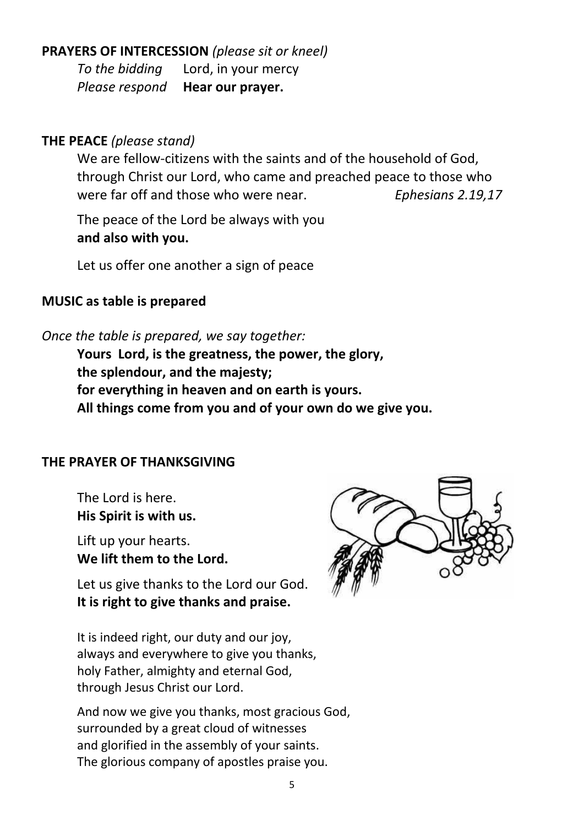# **PRAYERS OF INTERCESSION** *(please sit or kneel)*

*To the bidding* Lord, in your mercy *Please respond* **Hear our prayer.**

# **THE PEACE** *(please stand)*

We are fellow-citizens with the saints and of the household of God, through Christ our Lord, who came and preached peace to those who were far off and those who were near. *Ephesians 2.19,17*

The peace of the Lord be always with you **and also with you.**

Let us offer one another a sign of peace

# **MUSIC as table is prepared**

*Once the table is prepared, we say together:*

**Yours Lord, is the greatness, the power, the glory, the splendour, and the majesty; for everything in heaven and on earth is yours. All things come from you and of your own do we give you.**

# **THE PRAYER OF THANKSGIVING**

The Lord is here. **His Spirit is with us.**

Lift up your hearts. **We lift them to the Lord.**

Let us give thanks to the Lord our God. **It is right to give thanks and praise.**

It is indeed right, our duty and our joy, always and everywhere to give you thanks, holy Father, almighty and eternal God, through Jesus Christ our Lord.

And now we give you thanks, most gracious God, surrounded by a great cloud of witnesses and glorified in the assembly of your saints. The glorious company of apostles praise you.

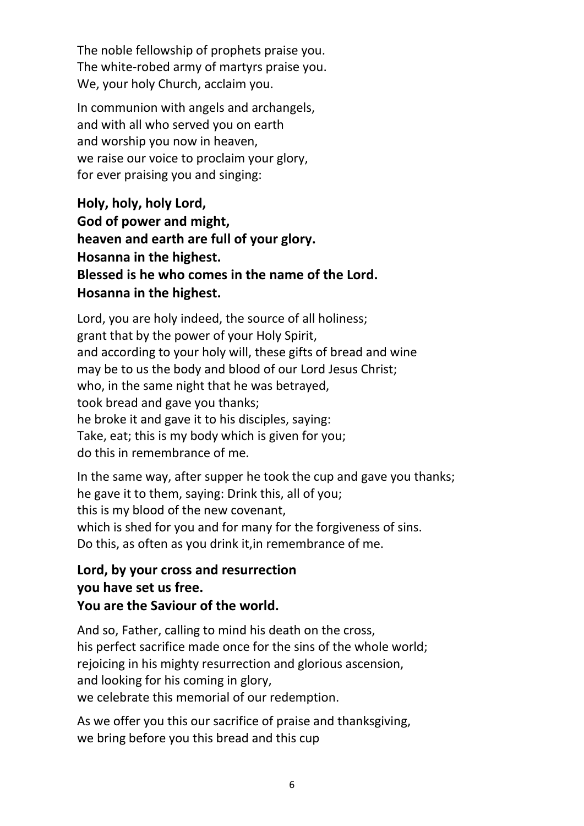The noble fellowship of prophets praise you. The white-robed army of martyrs praise you. We, your holy Church, acclaim you.

In communion with angels and archangels, and with all who served you on earth and worship you now in heaven, we raise our voice to proclaim your glory, for ever praising you and singing:

**Holy, holy, holy Lord, God of power and might, heaven and earth are full of your glory. Hosanna in the highest. Blessed is he who comes in the name of the Lord. Hosanna in the highest.**

Lord, you are holy indeed, the source of all holiness; grant that by the power of your Holy Spirit, and according to your holy will, these gifts of bread and wine may be to us the body and blood of our Lord Jesus Christ; who, in the same night that he was betrayed, took bread and gave you thanks; he broke it and gave it to his disciples, saying: Take, eat; this is my body which is given for you; do this in remembrance of me.

In the same way, after supper he took the cup and gave you thanks; he gave it to them, saying: Drink this, all of you; this is my blood of the new covenant, which is shed for you and for many for the forgiveness of sins. Do this, as often as you drink it,in remembrance of me.

# **Lord, by your cross and resurrection you have set us free.**

**You are the Saviour of the world.**

And so, Father, calling to mind his death on the cross, his perfect sacrifice made once for the sins of the whole world; rejoicing in his mighty resurrection and glorious ascension, and looking for his coming in glory, we celebrate this memorial of our redemption.

As we offer you this our sacrifice of praise and thanksgiving, we bring before you this bread and this cup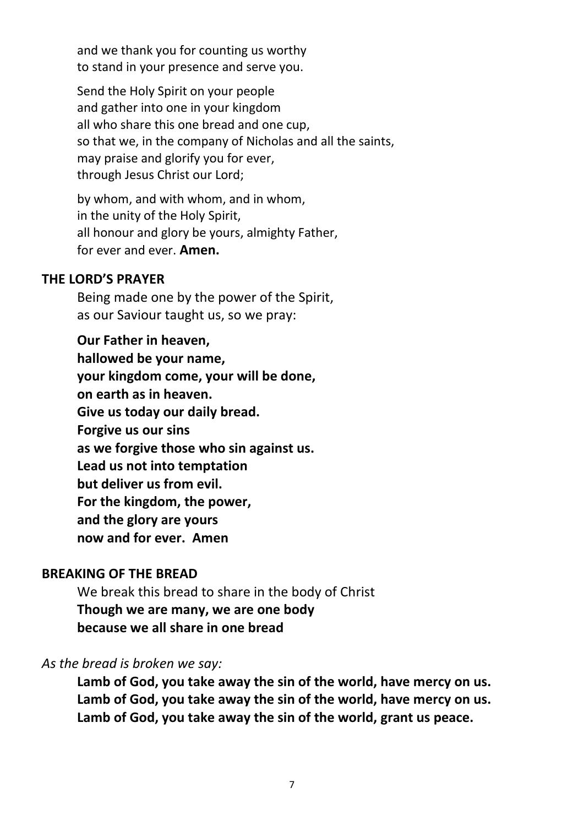and we thank you for counting us worthy to stand in your presence and serve you.

Send the Holy Spirit on your people and gather into one in your kingdom all who share this one bread and one cup, so that we, in the company of Nicholas and all the saints, may praise and glorify you for ever, through Jesus Christ our Lord;

by whom, and with whom, and in whom, in the unity of the Holy Spirit, all honour and glory be yours, almighty Father, for ever and ever. **Amen.**

# **THE LORD'S PRAYER**

Being made one by the power of the Spirit, as our Saviour taught us, so we pray:

**Our Father in heaven, hallowed be your name, your kingdom come, your will be done, on earth as in heaven. Give us today our daily bread. Forgive us our sins as we forgive those who sin against us. Lead us not into temptation but deliver us from evil. For the kingdom, the power, and the glory are yours now and for ever. Amen**

# **BREAKING OF THE BREAD**

We break this bread to share in the body of Christ **Though we are many, we are one body because we all share in one bread**

# *As the bread is broken we say:*

**Lamb of God, you take away the sin of the world, have mercy on us. Lamb of God, you take away the sin of the world, have mercy on us. Lamb of God, you take away the sin of the world, grant us peace.**